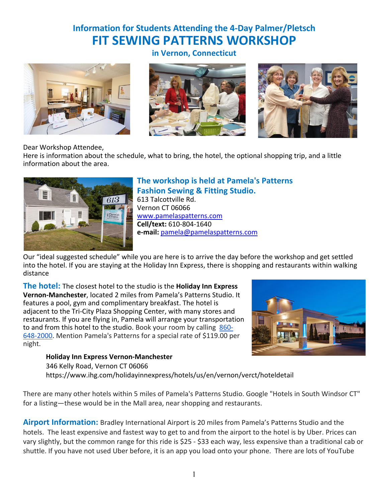# **Information for Students Attending the 4-Day Palmer/Pletsch FIT SEWING PATTERNS WORKSHOP**









Dear Workshop Attendee,

Here is information about the schedule, what to bring, the hotel, the optional shopping trip, and a little information about the area.



## **The workshop is held at Pamela's Patterns Fashion Sewing & Fitting Studio.**

613 Talcottville Rd. Vernon CT 06066 www.pamelaspatterns.com **Cell/text:** 610-804-1640 **e-mail:** pamela@pamelaspatterns.com

Our "ideal suggested schedule" while you are here is to arrive the day before the workshop and get settled into the hotel. If you are staying at the Holiday Inn Express, there is shopping and restaurants within walking distance

**The hotel:** The closest hotel to the studio is the **Holiday Inn Express Vernon-Manchester**, located 2 miles from Pamela's Patterns Studio. It features a pool, gym and complimentary breakfast. The hotel is adjacent to the Tri-City Plaza Shopping Center, with many stores and restaurants. If you are flying in, Pamela will arrange your transportation to and from this hotel to the studio. Book your room by calling 860- 648-2000. Mention Pamela's Patterns for a special rate of \$119.00 per night.



**Holiday Inn Express Vernon-Manchester**

346 Kelly Road, Vernon CT 06066 https://www.ihg.com/holidayinnexpress/hotels/us/en/vernon/verct/hoteldetail

There are many other hotels within 5 miles of Pamela's Patterns Studio. Google "Hotels in South Windsor CT" for a listing—these would be in the Mall area, near shopping and restaurants.

**Airport Information:** Bradley International Airport is 20 miles from Pamela's Patterns Studio and the hotels. The least expensive and fastest way to get to and from the airport to the hotel is by Uber. Prices can vary slightly, but the common range for this ride is \$25 - \$33 each way, less expensive than a traditional cab or shuttle. If you have not used Uber before, it is an app you load onto your phone. There are lots of YouTube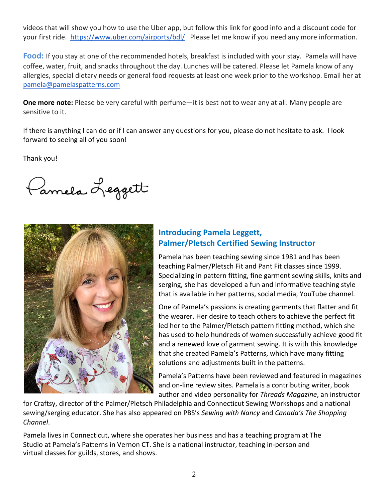videos that will show you how to use the Uber app, but follow this link for good info and a discount code for your first ride. https://www.uber.com/airports/bdl/ Please let me know if you need any more information.

**Food:** If you stay at one of the recommended hotels, breakfast is included with your stay. Pamela will have coffee, water, fruit, and snacks throughout the day. Lunches will be catered. Please let Pamela know of any allergies, special dietary needs or general food requests at least one week prior to the workshop. Email her at pamela@pamelaspatterns.com

**One more note:** Please be very careful with perfume—it is best not to wear any at all. Many people are sensitive to it.

If there is anything I can do or if I can answer any questions for you, please do not hesitate to ask. I look forward to seeing all of you soon!

Thank you!

Pannela Leggett



## **Introducing Pamela Leggett, Palmer/Pletsch Certified Sewing Instructor**

Pamela has been teaching sewing since 1981 and has been teaching Palmer/Pletsch Fit and Pant Fit classes since 1999. Specializing in pattern fitting, fine garment sewing skills, knits and serging, she has developed a fun and informative teaching style that is available in her patterns, social media, YouTube channel.

One of Pamela's passions is creating garments that flatter and fit the wearer. Her desire to teach others to achieve the perfect fit led her to the Palmer/Pletsch pattern fitting method, which she has used to help hundreds of women successfully achieve good fit and a renewed love of garment sewing. It is with this knowledge that she created Pamela's Patterns, which have many fitting solutions and adjustments built in the patterns.

Pamela's Patterns have been reviewed and featured in magazines and on-line review sites. Pamela is a contributing writer, book author and video personality for *Threads Magazine*, an instructor

for Craftsy, director of the Palmer/Pletsch Philadelphia and Connecticut Sewing Workshops and a national sewing/serging educator. She has also appeared on PBS's *Sewing with Nancy* and *Canada's The Shopping Channel*.

Pamela lives in Connecticut, where she operates her business and has a teaching program at The Studio at Pamela's Patterns in Vernon CT. She is a national instructor, teaching in-person and virtual classes for guilds, stores, and shows.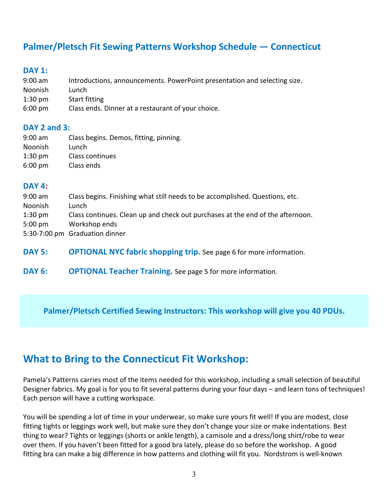# **Palmer/Pletsch Fit Sewing Patterns Workshop Schedule — Connecticut**

## **DAY 1:**

- 9:00 am Introductions, announcements. PowerPoint presentation and selecting size.
- Noonish Lunch
- 1:30 pm Start fitting
- 6:00 pm Class ends. Dinner at a restaurant of your choice.

## **DAY 2 and 3:**

9:00 am Class begins. Demos, fitting, pinning. Noonish Lunch 1:30 pm Class continues 6:00 pm Class ends

## **DAY 4:**

- 9:00 am Class begins. Finishing what still needs to be accomplished. Questions, etc. Noonish Lunch 1:30 pm Class continues. Clean up and check out purchases at the end of the afternoon. 5:00 pm Workshop ends 5:30-7:00 pm Graduation dinner
- **DAY 5: OPTIONAL NYC fabric shopping trip.** See page 6 for more information.
- **DAY 6: OPTIONAL Teacher Training.** See page 5 for more information.

**Palmer/Pletsch Certified Sewing Instructors: This workshop will give you 40 PDUs.**

# **What to Bring to the Connecticut Fit Workshop:**

Pamela's Patterns carries most of the items needed for this workshop, including a small selection of beautiful Designer fabrics. My goal is for you to fit several patterns during your four days – and learn tons of techniques! Each person will have a cutting workspace.

You will be spending a lot of time in your underwear, so make sure yours fit well! If you are modest, close fitting tights or leggings work well, but make sure they don't change your size or make indentations. Best thing to wear? Tights or leggings (shorts or ankle length), a camisole and a dress/long shirt/robe to wear over them. If you haven't been fitted for a good bra lately, please do so before the workshop. A good fitting bra can make a big difference in how patterns and clothing will fit you. Nordstrom is well-known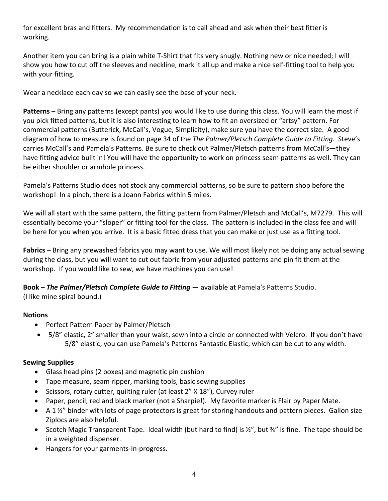for excellent bras and fitters. My recommendation is to call ahead and ask when their best fitter is working.

Another item you can bring is a plain white T-Shirt that fits very snugly. Nothing new or nice needed; I will show you how to cut off the sleeves and neckline, mark it all up and make a nice self-fitting tool to help you with your fitting.

Wear a necklace each day so we can easily see the base of your neck.

**Patterns** – Bring any patterns (except pants) you would like to use during this class. You will learn the most if you pick fitted patterns, but it is also interesting to learn how to fit an oversized or "artsy" pattern. For commercial patterns (Butterick, McCall's, Vogue, Simplicity), make sure you have the correct size. A good diagram of how to measure is found on page 34 of the *The Palmer/Pletsch Complete Guide to Fitting*. Steve's carries McCall's and Pamela's Patterns. Be sure to check out Palmer/Pletsch patterns from McCall's—they have fitting advice built in! You will have the opportunity to work on princess seam patterns as well. They can be either shoulder or armhole princess.

Pamela's Patterns Studio does not stock any commercial patterns, so be sure to pattern shop before the workshop! In a pinch, there is a Joann Fabrics within 5 miles.

We will all start with the same pattern, the fitting pattern from Palmer/Pletsch and McCall's, M7279. This will essentially become your "sloper" or fitting tool for the class. The pattern is included in the class fee and will be here for you when you arrive. It is a basic fitted dress that you can make or just use as a fitting tool.

**Fabrics** – Bring any prewashed fabrics you may want to use. We will most likely not be doing any actual sewing during the class, but you will want to cut out fabric from your adjusted patterns and pin fit them at the workshop. If you would like to sew, we have machines you can use!

**Book** – *The Palmer/Pletsch Complete Guide to Fitting* — available at Pamela's Patterns Studio. (I like mine spiral bound.)

### **Notions**

- Perfect Pattern Paper by Palmer/Pletsch
- 5/8" elastic, 2" smaller than your waist, sewn into a circle or connected with Velcro. If you don't have 5/8" elastic, you can use Pamela's Patterns Fantastic Elastic, which can be cut to any width.

### **Sewing Supplies**

- Glass head pins (2 boxes) and magnetic pin cushion
- Tape measure, seam ripper, marking tools, basic sewing supplies
- Scissors, rotary cutter, quilting ruler (at least 2" X 18"), Curvey ruler
- Paper, pencil, red and black marker (not a Sharpie!). My favorite marker is Flair by Paper Mate.
- A 1 $\frac{1}{2}$ " binder with lots of page protectors is great for storing handouts and pattern pieces. Gallon size Ziplocs are also helpful.
- Scotch Magic Transparent Tape. Ideal width (but hard to find) is ½", but ¾" is fine. The tape should be in a weighted dispenser.
- Hangers for your garments-in-progress.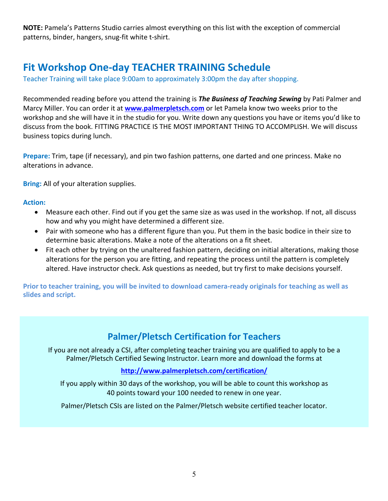**NOTE:** Pamela's Patterns Studio carries almost everything on this list with the exception of commercial patterns, binder, hangers, snug-fit white t-shirt.

# **Fit Workshop One-day TEACHER TRAINING Schedule**

Teacher Training will take place 9:00am to approximately 3:00pm the day after shopping.

Recommended reading before you attend the training is *The Business of Teaching Sewing* by Pati Palmer and Marcy Miller. You can order it at **www.palmerpletsch.com** or let Pamela know two weeks prior to the workshop and she will have it in the studio for you. Write down any questions you have or items you'd like to discuss from the book. FITTING PRACTICE IS THE MOST IMPORTANT THING TO ACCOMPLISH. We will discuss business topics during lunch.

**Prepare:** Trim, tape (if necessary), and pin two fashion patterns, one darted and one princess. Make no alterations in advance.

**Bring:** All of your alteration supplies.

#### **Action:**

- Measure each other. Find out if you get the same size as was used in the workshop. If not, all discuss how and why you might have determined a different size.
- Pair with someone who has a different figure than you. Put them in the basic bodice in their size to determine basic alterations. Make a note of the alterations on a fit sheet.
- Fit each other by trying on the unaltered fashion pattern, deciding on initial alterations, making those alterations for the person you are fitting, and repeating the process until the pattern is completely altered. Have instructor check. Ask questions as needed, but try first to make decisions yourself.

**Prior to teacher training, you will be invited to download camera-ready originals for teaching as well as slides and script.**

# **Palmer/Pletsch Certification for Teachers**

If you are not already a CSI, after completing teacher training you are qualified to apply to be a Palmer/Pletsch Certified Sewing Instructor. Learn more and download the forms at

### **http://www.palmerpletsch.com/certification/**

If you apply within 30 days of the workshop, you will be able to count this workshop as 40 points toward your 100 needed to renew in one year.

Palmer/Pletsch CSIs are listed on the Palmer/Pletsch website certified teacher locator.